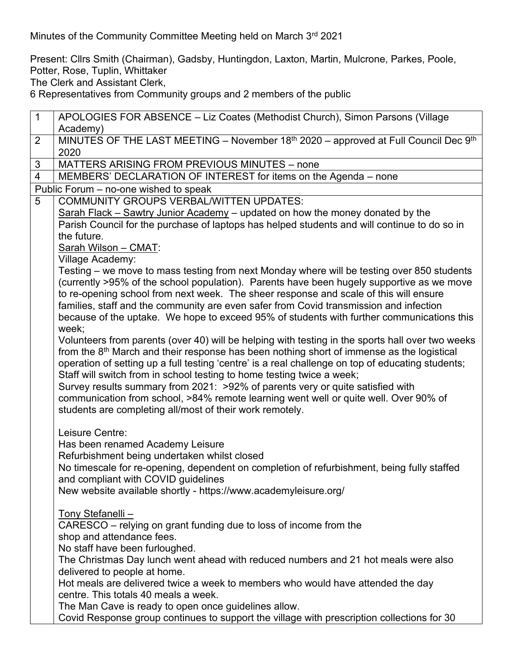Minutes of the Community Committee Meeting held on March 3<sup>rd</sup> 2021

Present: Cllrs Smith (Chairman), Gadsby, Huntingdon, Laxton, Martin, Mulcrone, Parkes, Poole, Potter, Rose, Tuplin, Whittaker

1 APOLOGIES FOR ABSENCE – Liz Coates (Methodist Church), Simon Parsons (Village

The Clerk and Assistant Clerk,

6 Representatives from Community groups and 2 members of the public

Academy) 2 | MINUTES OF THE LAST MEETING – November  $18<sup>th</sup>$  2020 – approved at Full Council Dec  $9<sup>th</sup>$ 2020 3 | MATTERS ARISING FROM PREVIOUS MINUTES – none 4 MEMBERS' DECLARATION OF INTEREST for items on the Agenda – none Public Forum – no-one wished to speak 5 COMMUNITY GROUPS VERBAL/WITTEN UPDATES: Sarah Flack – Sawtry Junior Academy – updated on how the money donated by the Parish Council for the purchase of laptops has helped students and will continue to do so in the future. Sarah Wilson – CMAT: Village Academy: Testing – we move to mass testing from next Monday where will be testing over 850 students (currently >95% of the school population). Parents have been hugely supportive as we move to re-opening school from next week. The sheer response and scale of this will ensure families, staff and the community are even safer from Covid transmission and infection because of the uptake. We hope to exceed 95% of students with further communications this week; Volunteers from parents (over 40) will be helping with testing in the sports hall over two weeks from the  $8<sup>th</sup>$  March and their response has been nothing short of immense as the logistical operation of setting up a full testing 'centre' is a real challenge on top of educating students; Staff will switch from in school testing to home testing twice a week; Survey results summary from 2021: >92% of parents very or quite satisfied with communication from school, >84% remote learning went well or quite well. Over 90% of students are completing all/most of their work remotely. Leisure Centre: Has been renamed Academy Leisure Refurbishment being undertaken whilst closed No timescale for re-opening, dependent on completion of refurbishment, being fully staffed and compliant with COVID guidelines New website available shortly - https://www.academyleisure.org/ Tony Stefanelli – CARESCO – relying on grant funding due to loss of income from the shop and attendance fees. No staff have been furloughed. The Christmas Day lunch went ahead with reduced numbers and 21 hot meals were also delivered to people at home. Hot meals are delivered twice a week to members who would have attended the day centre. This totals 40 meals a week. The Man Cave is ready to open once guidelines allow. Covid Response group continues to support the village with prescription collections for 30